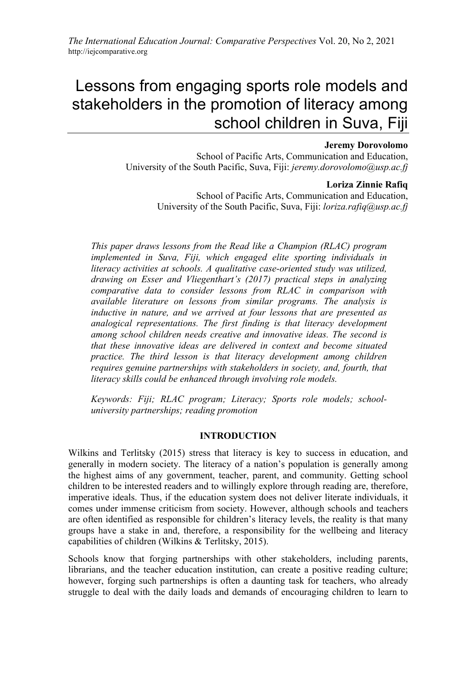# Lessons from engaging sports role models and stakeholders in the promotion of literacy among school children in Suva, Fiji

## **Jeremy Dorovolomo**

School of Pacific Arts, Communication and Education, University of the South Pacific, Suva, Fiji: *jeremy.dorovolomo@usp.ac.fj*

## **Loriza Zinnie Rafiq**

School of Pacific Arts, Communication and Education, University of the South Pacific, Suva, Fiji: *loriza.rafiq@usp.ac.fj*

*This paper draws lessons from the Read like a Champion (RLAC) program implemented in Suva, Fiji, which engaged elite sporting individuals in literacy activities at schools. A qualitative case-oriented study was utilized, drawing on Esser and Vliegenthart's (2017) practical steps in analyzing comparative data to consider lessons from RLAC in comparison with available literature on lessons from similar programs. The analysis is inductive in nature, and we arrived at four lessons that are presented as analogical representations. The first finding is that literacy development among school children needs creative and innovative ideas. The second is that these innovative ideas are delivered in context and become situated practice. The third lesson is that literacy development among children requires genuine partnerships with stakeholders in society, and, fourth, that literacy skills could be enhanced through involving role models.*

*Keywords: Fiji; RLAC program; Literacy; Sports role models; schooluniversity partnerships; reading promotion*

# **INTRODUCTION**

Wilkins and Terlitsky (2015) stress that literacy is key to success in education, and generally in modern society. The literacy of a nation's population is generally among the highest aims of any government, teacher, parent, and community. Getting school children to be interested readers and to willingly explore through reading are, therefore, imperative ideals. Thus, if the education system does not deliver literate individuals, it comes under immense criticism from society. However, although schools and teachers are often identified as responsible for children's literacy levels, the reality is that many groups have a stake in and, therefore, a responsibility for the wellbeing and literacy capabilities of children (Wilkins & Terlitsky, 2015).

Schools know that forging partnerships with other stakeholders, including parents, librarians, and the teacher education institution, can create a positive reading culture; however, forging such partnerships is often a daunting task for teachers, who already struggle to deal with the daily loads and demands of encouraging children to learn to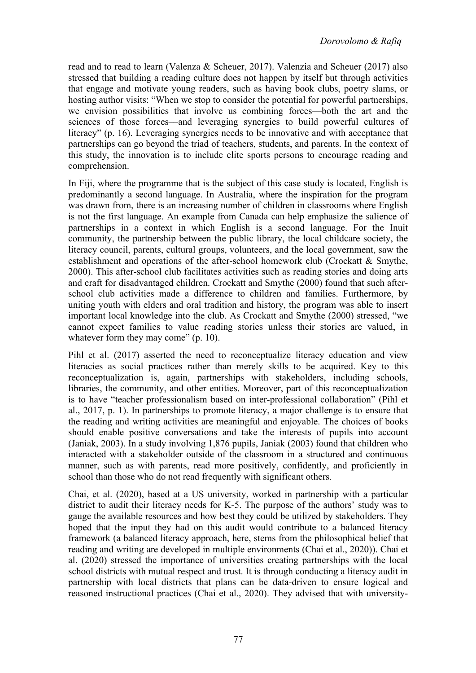read and to read to learn (Valenza & Scheuer, 2017). Valenzia and Scheuer (2017) also stressed that building a reading culture does not happen by itself but through activities that engage and motivate young readers, such as having book clubs, poetry slams, or hosting author visits: "When we stop to consider the potential for powerful partnerships, we envision possibilities that involve us combining forces––both the art and the sciences of those forces––and leveraging synergies to build powerful cultures of literacy" (p. 16). Leveraging synergies needs to be innovative and with acceptance that partnerships can go beyond the triad of teachers, students, and parents. In the context of this study, the innovation is to include elite sports persons to encourage reading and comprehension.

In Fiji, where the programme that is the subject of this case study is located, English is predominantly a second language. In Australia, where the inspiration for the program was drawn from, there is an increasing number of children in classrooms where English is not the first language. An example from Canada can help emphasize the salience of partnerships in a context in which English is a second language. For the Inuit community, the partnership between the public library, the local childcare society, the literacy council, parents, cultural groups, volunteers, and the local government, saw the establishment and operations of the after-school homework club (Crockatt & Smythe, 2000). This after-school club facilitates activities such as reading stories and doing arts and craft for disadvantaged children. Crockatt and Smythe (2000) found that such afterschool club activities made a difference to children and families. Furthermore, by uniting youth with elders and oral tradition and history, the program was able to insert important local knowledge into the club. As Crockatt and Smythe (2000) stressed, "we cannot expect families to value reading stories unless their stories are valued, in whatever form they may come" (p. 10).

Pihl et al. (2017) asserted the need to reconceptualize literacy education and view literacies as social practices rather than merely skills to be acquired. Key to this reconceptualization is, again, partnerships with stakeholders, including schools, libraries, the community, and other entities. Moreover, part of this reconceptualization is to have "teacher professionalism based on inter-professional collaboration" (Pihl et al., 2017, p. 1). In partnerships to promote literacy, a major challenge is to ensure that the reading and writing activities are meaningful and enjoyable. The choices of books should enable positive conversations and take the interests of pupils into account (Janiak, 2003). In a study involving 1,876 pupils, Janiak (2003) found that children who interacted with a stakeholder outside of the classroom in a structured and continuous manner, such as with parents, read more positively, confidently, and proficiently in school than those who do not read frequently with significant others.

Chai, et al. (2020), based at a US university, worked in partnership with a particular district to audit their literacy needs for K-5. The purpose of the authors' study was to gauge the available resources and how best they could be utilized by stakeholders. They hoped that the input they had on this audit would contribute to a balanced literacy framework (a balanced literacy approach, here, stems from the philosophical belief that reading and writing are developed in multiple environments (Chai et al., 2020)). Chai et al. (2020) stressed the importance of universities creating partnerships with the local school districts with mutual respect and trust. It is through conducting a literacy audit in partnership with local districts that plans can be data-driven to ensure logical and reasoned instructional practices (Chai et al., 2020). They advised that with university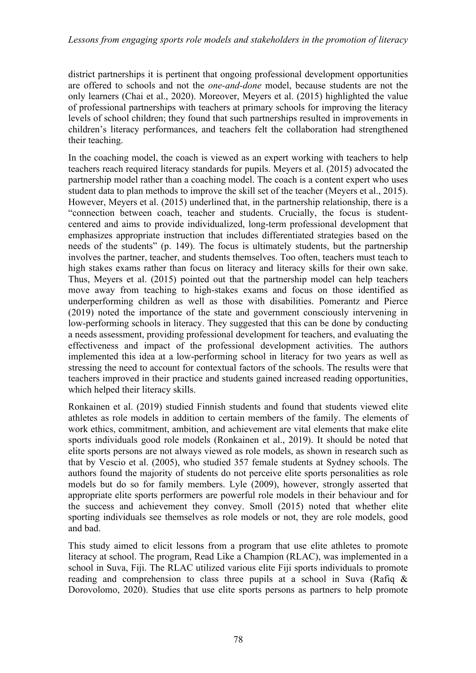district partnerships it is pertinent that ongoing professional development opportunities are offered to schools and not the *one-and-done* model, because students are not the only learners (Chai et al., 2020). Moreover, Meyers et al. (2015) highlighted the value of professional partnerships with teachers at primary schools for improving the literacy levels of school children; they found that such partnerships resulted in improvements in children's literacy performances, and teachers felt the collaboration had strengthened their teaching.

In the coaching model, the coach is viewed as an expert working with teachers to help teachers reach required literacy standards for pupils. Meyers et al. (2015) advocated the partnership model rather than a coaching model. The coach is a content expert who uses student data to plan methods to improve the skill set of the teacher (Meyers et al., 2015). However, Meyers et al. (2015) underlined that, in the partnership relationship, there is a "connection between coach, teacher and students. Crucially, the focus is studentcentered and aims to provide individualized, long-term professional development that emphasizes appropriate instruction that includes differentiated strategies based on the needs of the students" (p. 149). The focus is ultimately students, but the partnership involves the partner, teacher, and students themselves. Too often, teachers must teach to high stakes exams rather than focus on literacy and literacy skills for their own sake. Thus, Meyers et al. (2015) pointed out that the partnership model can help teachers move away from teaching to high-stakes exams and focus on those identified as underperforming children as well as those with disabilities. Pomerantz and Pierce (2019) noted the importance of the state and government consciously intervening in low-performing schools in literacy. They suggested that this can be done by conducting a needs assessment, providing professional development for teachers, and evaluating the effectiveness and impact of the professional development activities. The authors implemented this idea at a low-performing school in literacy for two years as well as stressing the need to account for contextual factors of the schools. The results were that teachers improved in their practice and students gained increased reading opportunities, which helped their literacy skills.

Ronkainen et al. (2019) studied Finnish students and found that students viewed elite athletes as role models in addition to certain members of the family. The elements of work ethics, commitment, ambition, and achievement are vital elements that make elite sports individuals good role models (Ronkainen et al., 2019). It should be noted that elite sports persons are not always viewed as role models, as shown in research such as that by Vescio et al. (2005), who studied 357 female students at Sydney schools. The authors found the majority of students do not perceive elite sports personalities as role models but do so for family members. Lyle (2009), however, strongly asserted that appropriate elite sports performers are powerful role models in their behaviour and for the success and achievement they convey. Smoll (2015) noted that whether elite sporting individuals see themselves as role models or not, they are role models, good and bad.

This study aimed to elicit lessons from a program that use elite athletes to promote literacy at school. The program, Read Like a Champion (RLAC), was implemented in a school in Suva, Fiji. The RLAC utilized various elite Fiji sports individuals to promote reading and comprehension to class three pupils at a school in Suva (Rafiq & Dorovolomo, 2020). Studies that use elite sports persons as partners to help promote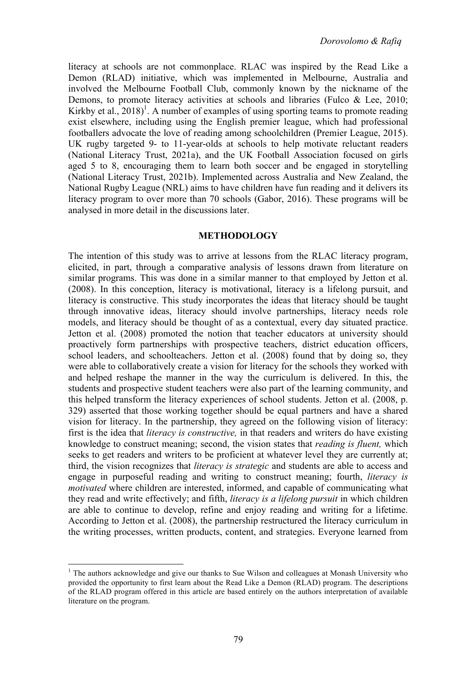literacy at schools are not commonplace. RLAC was inspired by the Read Like a Demon (RLAD) initiative, which was implemented in Melbourne, Australia and involved the Melbourne Football Club, commonly known by the nickname of the Demons, to promote literacy activities at schools and libraries (Fulco & Lee, 2010; Kirkby et al.,  $2018$ <sup>1</sup>. A number of examples of using sporting teams to promote reading exist elsewhere, including using the English premier league, which had professional footballers advocate the love of reading among schoolchildren (Premier League, 2015). UK rugby targeted 9- to 11-year-olds at schools to help motivate reluctant readers (National Literacy Trust, 2021a), and the UK Football Association focused on girls aged 5 to 8, encouraging them to learn both soccer and be engaged in storytelling (National Literacy Trust, 2021b). Implemented across Australia and New Zealand, the National Rugby League (NRL) aims to have children have fun reading and it delivers its literacy program to over more than 70 schools (Gabor, 2016). These programs will be analysed in more detail in the discussions later.

### **METHODOLOGY**

The intention of this study was to arrive at lessons from the RLAC literacy program, elicited, in part, through a comparative analysis of lessons drawn from literature on similar programs. This was done in a similar manner to that employed by Jetton et al. (2008). In this conception, literacy is motivational, literacy is a lifelong pursuit, and literacy is constructive. This study incorporates the ideas that literacy should be taught through innovative ideas, literacy should involve partnerships, literacy needs role models, and literacy should be thought of as a contextual, every day situated practice. Jetton et al. (2008) promoted the notion that teacher educators at university should proactively form partnerships with prospective teachers, district education officers, school leaders, and schoolteachers. Jetton et al. (2008) found that by doing so, they were able to collaboratively create a vision for literacy for the schools they worked with and helped reshape the manner in the way the curriculum is delivered. In this, the students and prospective student teachers were also part of the learning community, and this helped transform the literacy experiences of school students. Jetton et al. (2008, p. 329) asserted that those working together should be equal partners and have a shared vision for literacy. In the partnership, they agreed on the following vision of literacy: first is the idea that *literacy is constructive,* in that readers and writers do have existing knowledge to construct meaning; second, the vision states that *reading is fluent,* which seeks to get readers and writers to be proficient at whatever level they are currently at; third, the vision recognizes that *literacy is strategic* and students are able to access and engage in purposeful reading and writing to construct meaning; fourth, *literacy is motivated* where children are interested, informed, and capable of communicating what they read and write effectively; and fifth, *literacy is a lifelong pursuit* in which children are able to continue to develop, refine and enjoy reading and writing for a lifetime. According to Jetton et al. (2008), the partnership restructured the literacy curriculum in the writing processes, written products, content, and strategies. Everyone learned from

 $<sup>1</sup>$  The authors acknowledge and give our thanks to Sue Wilson and colleagues at Monash University who</sup> provided the opportunity to first learn about the Read Like a Demon (RLAD) program. The descriptions of the RLAD program offered in this article are based entirely on the authors interpretation of available literature on the program.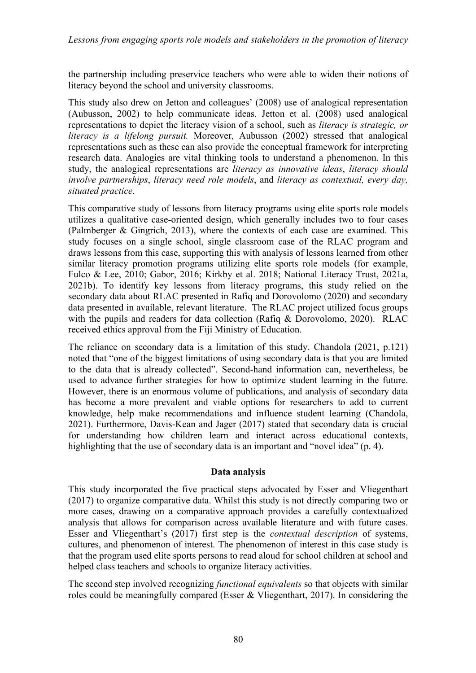*Lessons from engaging sports role models and stakeholders in the promotion of literacy* 

the partnership including preservice teachers who were able to widen their notions of literacy beyond the school and university classrooms.

This study also drew on Jetton and colleagues' (2008) use of analogical representation (Aubusson, 2002) to help communicate ideas. Jetton et al. (2008) used analogical representations to depict the literacy vision of a school, such as *literacy is strategic, or literacy is a lifelong pursuit.* Moreover, Aubusson (2002) stressed that analogical representations such as these can also provide the conceptual framework for interpreting research data. Analogies are vital thinking tools to understand a phenomenon. In this study, the analogical representations are *literacy as innovative ideas*, *literacy should involve partnerships*, *literacy need role models*, and *literacy as contextual, every day, situated practice*.

This comparative study of lessons from literacy programs using elite sports role models utilizes a qualitative case-oriented design, which generally includes two to four cases (Palmberger & Gingrich, 2013), where the contexts of each case are examined. This study focuses on a single school, single classroom case of the RLAC program and draws lessons from this case, supporting this with analysis of lessons learned from other similar literacy promotion programs utilizing elite sports role models (for example, Fulco & Lee, 2010; Gabor, 2016; Kirkby et al. 2018; National Literacy Trust, 2021a, 2021b). To identify key lessons from literacy programs, this study relied on the secondary data about RLAC presented in Rafiq and Dorovolomo (2020) and secondary data presented in available, relevant literature. The RLAC project utilized focus groups with the pupils and readers for data collection (Rafiq & Dorovolomo, 2020). RLAC received ethics approval from the Fiji Ministry of Education.

The reliance on secondary data is a limitation of this study. Chandola (2021, p.121) noted that "one of the biggest limitations of using secondary data is that you are limited to the data that is already collected". Second-hand information can, nevertheless, be used to advance further strategies for how to optimize student learning in the future. However, there is an enormous volume of publications, and analysis of secondary data has become a more prevalent and viable options for researchers to add to current knowledge, help make recommendations and influence student learning (Chandola, 2021). Furthermore, Davis-Kean and Jager (2017) stated that secondary data is crucial for understanding how children learn and interact across educational contexts, highlighting that the use of secondary data is an important and "novel idea" (p. 4).

### **Data analysis**

This study incorporated the five practical steps advocated by Esser and Vliegenthart (2017) to organize comparative data. Whilst this study is not directly comparing two or more cases, drawing on a comparative approach provides a carefully contextualized analysis that allows for comparison across available literature and with future cases. Esser and Vliegenthart's (2017) first step is the *contextual description* of systems, cultures, and phenomenon of interest. The phenomenon of interest in this case study is that the program used elite sports persons to read aloud for school children at school and helped class teachers and schools to organize literacy activities.

The second step involved recognizing *functional equivalents* so that objects with similar roles could be meaningfully compared (Esser & Vliegenthart, 2017). In considering the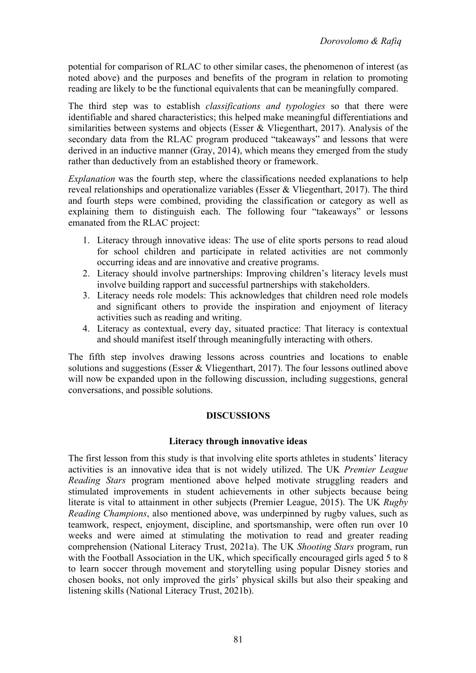potential for comparison of RLAC to other similar cases, the phenomenon of interest (as noted above) and the purposes and benefits of the program in relation to promoting reading are likely to be the functional equivalents that can be meaningfully compared.

The third step was to establish *classifications and typologies* so that there were identifiable and shared characteristics; this helped make meaningful differentiations and similarities between systems and objects (Esser & Vliegenthart, 2017). Analysis of the secondary data from the RLAC program produced "takeaways" and lessons that were derived in an inductive manner (Gray, 2014), which means they emerged from the study rather than deductively from an established theory or framework.

*Explanation* was the fourth step, where the classifications needed explanations to help reveal relationships and operationalize variables (Esser & Vliegenthart, 2017). The third and fourth steps were combined, providing the classification or category as well as explaining them to distinguish each. The following four "takeaways" or lessons emanated from the RLAC project:

- 1. Literacy through innovative ideas: The use of elite sports persons to read aloud for school children and participate in related activities are not commonly occurring ideas and are innovative and creative programs.
- 2. Literacy should involve partnerships: Improving children's literacy levels must involve building rapport and successful partnerships with stakeholders.
- 3. Literacy needs role models: This acknowledges that children need role models and significant others to provide the inspiration and enjoyment of literacy activities such as reading and writing.
- 4. Literacy as contextual, every day, situated practice: That literacy is contextual and should manifest itself through meaningfully interacting with others.

The fifth step involves drawing lessons across countries and locations to enable solutions and suggestions (Esser & Vliegenthart, 2017). The four lessons outlined above will now be expanded upon in the following discussion, including suggestions, general conversations, and possible solutions.

# **DISCUSSIONS**

# **Literacy through innovative ideas**

The first lesson from this study is that involving elite sports athletes in students' literacy activities is an innovative idea that is not widely utilized. The UK *Premier League Reading Stars* program mentioned above helped motivate struggling readers and stimulated improvements in student achievements in other subjects because being literate is vital to attainment in other subjects (Premier League, 2015). The UK *Rugby Reading Champions*, also mentioned above, was underpinned by rugby values, such as teamwork, respect, enjoyment, discipline, and sportsmanship, were often run over 10 weeks and were aimed at stimulating the motivation to read and greater reading comprehension (National Literacy Trust, 2021a). The UK *Shooting Stars* program, run with the Football Association in the UK, which specifically encouraged girls aged 5 to 8 to learn soccer through movement and storytelling using popular Disney stories and chosen books, not only improved the girls' physical skills but also their speaking and listening skills (National Literacy Trust, 2021b).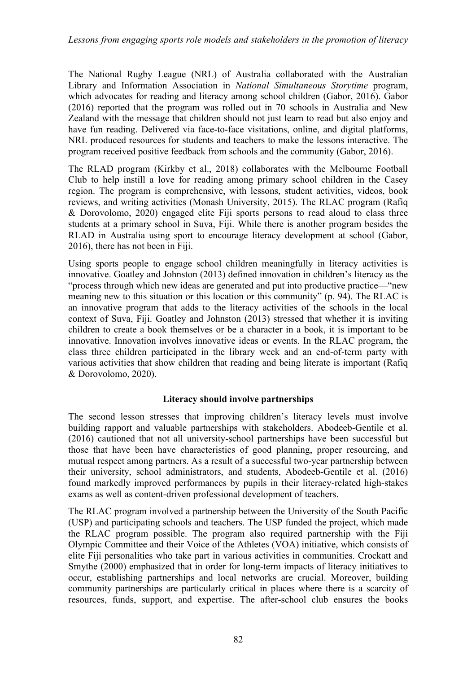The National Rugby League (NRL) of Australia collaborated with the Australian Library and Information Association in *National Simultaneous Storytime* program, which advocates for reading and literacy among school children (Gabor, 2016). Gabor (2016) reported that the program was rolled out in 70 schools in Australia and New Zealand with the message that children should not just learn to read but also enjoy and have fun reading. Delivered via face-to-face visitations, online, and digital platforms, NRL produced resources for students and teachers to make the lessons interactive. The program received positive feedback from schools and the community (Gabor, 2016).

The RLAD program (Kirkby et al., 2018) collaborates with the Melbourne Football Club to help instill a love for reading among primary school children in the Casey region. The program is comprehensive, with lessons, student activities, videos, book reviews, and writing activities (Monash University, 2015). The RLAC program (Rafiq & Dorovolomo, 2020) engaged elite Fiji sports persons to read aloud to class three students at a primary school in Suva, Fiji. While there is another program besides the RLAD in Australia using sport to encourage literacy development at school (Gabor, 2016), there has not been in Fiji.

Using sports people to engage school children meaningfully in literacy activities is innovative. Goatley and Johnston (2013) defined innovation in children's literacy as the "process through which new ideas are generated and put into productive practice––"new meaning new to this situation or this location or this community" (p. 94). The RLAC is an innovative program that adds to the literacy activities of the schools in the local context of Suva, Fiji. Goatley and Johnston (2013) stressed that whether it is inviting children to create a book themselves or be a character in a book, it is important to be innovative. Innovation involves innovative ideas or events. In the RLAC program, the class three children participated in the library week and an end-of-term party with various activities that show children that reading and being literate is important (Rafiq & Dorovolomo, 2020).

# **Literacy should involve partnerships**

The second lesson stresses that improving children's literacy levels must involve building rapport and valuable partnerships with stakeholders. Abodeeb-Gentile et al. (2016) cautioned that not all university-school partnerships have been successful but those that have been have characteristics of good planning, proper resourcing, and mutual respect among partners. As a result of a successful two-year partnership between their university, school administrators, and students, Abodeeb-Gentile et al. (2016) found markedly improved performances by pupils in their literacy-related high-stakes exams as well as content-driven professional development of teachers.

The RLAC program involved a partnership between the University of the South Pacific (USP) and participating schools and teachers. The USP funded the project, which made the RLAC program possible. The program also required partnership with the Fiji Olympic Committee and their Voice of the Athletes (VOA) initiative, which consists of elite Fiji personalities who take part in various activities in communities. Crockatt and Smythe (2000) emphasized that in order for long-term impacts of literacy initiatives to occur, establishing partnerships and local networks are crucial. Moreover, building community partnerships are particularly critical in places where there is a scarcity of resources, funds, support, and expertise. The after-school club ensures the books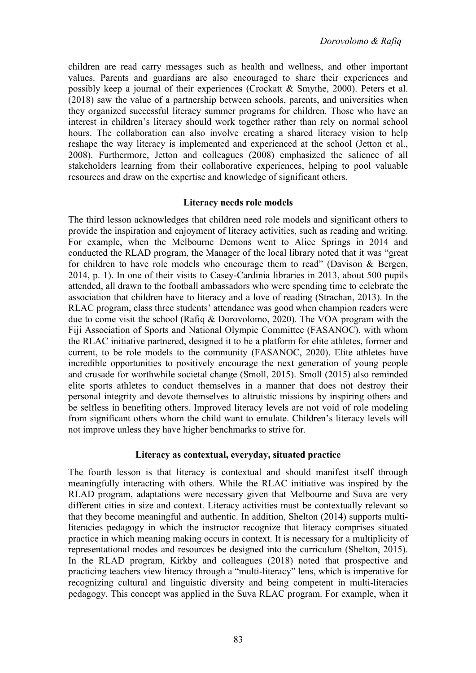children are read carry messages such as health and wellness, and other important values. Parents and guardians are also encouraged to share their experiences and possibly keep a journal of their experiences (Crockatt & Smythe, 2000). Peters et al. (2018) saw the value of a partnership between schools, parents, and universities when they organized successful literacy summer programs for children. Those who have an interest in children's literacy should work together rather than rely on normal school hours. The collaboration can also involve creating a shared literacy vision to help reshape the way literacy is implemented and experienced at the school (Jetton et al., 2008). Furthermore, Jetton and colleagues (2008) emphasized the salience of all stakeholders learning from their collaborative experiences, helping to pool valuable resources and draw on the expertise and knowledge of significant others.

## **Literacy needs role models**

The third lesson acknowledges that children need role models and significant others to provide the inspiration and enjoyment of literacy activities, such as reading and writing. For example, when the Melbourne Demons went to Alice Springs in 2014 and conducted the RLAD program, the Manager of the local library noted that it was "great for children to have role models who encourage them to read" (Davison & Bergen, 2014, p. 1). In one of their visits to Casey-Cardinia libraries in 2013, about 500 pupils attended, all drawn to the football ambassadors who were spending time to celebrate the association that children have to literacy and a love of reading (Strachan, 2013). In the RLAC program, class three students' attendance was good when champion readers were due to come visit the school (Rafiq & Dorovolomo, 2020). The VOA program with the Fiji Association of Sports and National Olympic Committee (FASANOC), with whom the RLAC initiative partnered, designed it to be a platform for elite athletes, former and current, to be role models to the community (FASANOC, 2020). Elite athletes have incredible opportunities to positively encourage the next generation of young people and crusade for worthwhile societal change (Smoll, 2015). Smoll (2015) also reminded elite sports athletes to conduct themselves in a manner that does not destroy their personal integrity and devote themselves to altruistic missions by inspiring others and be selfless in benefiting others. Improved literacy levels are not void of role modeling from significant others whom the child want to emulate. Children's literacy levels will not improve unless they have higher benchmarks to strive for.

### **Literacy as contextual, everyday, situated practice**

The fourth lesson is that literacy is contextual and should manifest itself through meaningfully interacting with others. While the RLAC initiative was inspired by the RLAD program, adaptations were necessary given that Melbourne and Suva are very different cities in size and context. Literacy activities must be contextually relevant so that they become meaningful and authentic. In addition, Shelton (2014) supports multiliteracies pedagogy in which the instructor recognize that literacy comprises situated practice in which meaning making occurs in context. It is necessary for a multiplicity of representational modes and resources be designed into the curriculum (Shelton, 2015). In the RLAD program, Kirkby and colleagues (2018) noted that prospective and practicing teachers view literacy through a "multi-literacy" lens, which is imperative for recognizing cultural and linguistic diversity and being competent in multi-literacies pedagogy. This concept was applied in the Suva RLAC program. For example, when it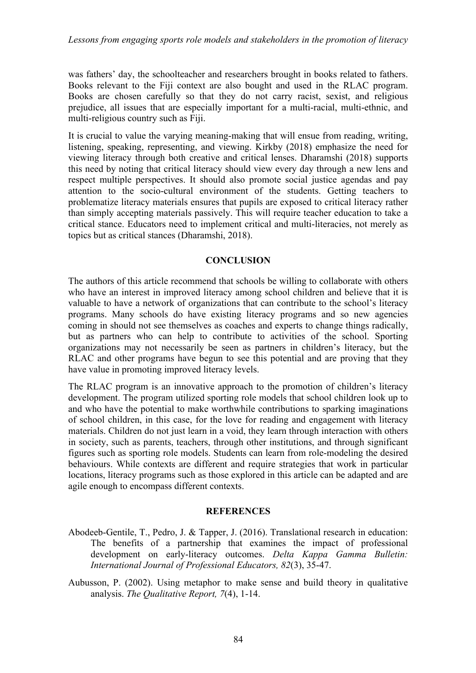*Lessons from engaging sports role models and stakeholders in the promotion of literacy* 

was fathers' day, the schoolteacher and researchers brought in books related to fathers. Books relevant to the Fiji context are also bought and used in the RLAC program. Books are chosen carefully so that they do not carry racist, sexist, and religious prejudice, all issues that are especially important for a multi-racial, multi-ethnic, and multi-religious country such as Fiji.

It is crucial to value the varying meaning-making that will ensue from reading, writing, listening, speaking, representing, and viewing. Kirkby (2018) emphasize the need for viewing literacy through both creative and critical lenses. Dharamshi (2018) supports this need by noting that critical literacy should view every day through a new lens and respect multiple perspectives. It should also promote social justice agendas and pay attention to the socio-cultural environment of the students. Getting teachers to problematize literacy materials ensures that pupils are exposed to critical literacy rather than simply accepting materials passively. This will require teacher education to take a critical stance. Educators need to implement critical and multi-literacies, not merely as topics but as critical stances (Dharamshi, 2018).

## **CONCLUSION**

The authors of this article recommend that schools be willing to collaborate with others who have an interest in improved literacy among school children and believe that it is valuable to have a network of organizations that can contribute to the school's literacy programs. Many schools do have existing literacy programs and so new agencies coming in should not see themselves as coaches and experts to change things radically, but as partners who can help to contribute to activities of the school. Sporting organizations may not necessarily be seen as partners in children's literacy, but the RLAC and other programs have begun to see this potential and are proving that they have value in promoting improved literacy levels.

The RLAC program is an innovative approach to the promotion of children's literacy development. The program utilized sporting role models that school children look up to and who have the potential to make worthwhile contributions to sparking imaginations of school children, in this case, for the love for reading and engagement with literacy materials. Children do not just learn in a void, they learn through interaction with others in society, such as parents, teachers, through other institutions, and through significant figures such as sporting role models. Students can learn from role-modeling the desired behaviours. While contexts are different and require strategies that work in particular locations, literacy programs such as those explored in this article can be adapted and are agile enough to encompass different contexts.

### **REFERENCES**

- Abodeeb-Gentile, T., Pedro, J. & Tapper, J. (2016). Translational research in education: The benefits of a partnership that examines the impact of professional development on early-literacy outcomes. *Delta Kappa Gamma Bulletin: International Journal of Professional Educators, 82*(3), 35-47.
- Aubusson, P. (2002). Using metaphor to make sense and build theory in qualitative analysis. *The Qualitative Report, 7*(4), 1-14.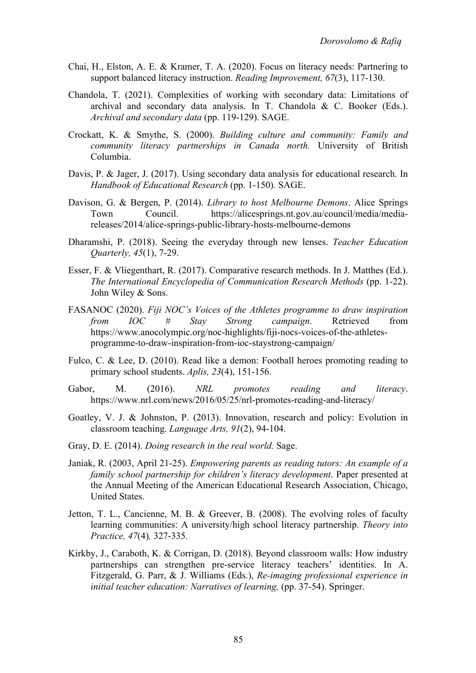- Chai, H., Elston, A. E. & Kramer, T. A. (2020). Focus on literacy needs: Partnering to support balanced literacy instruction. *Reading Improvement, 67*(3), 117-130.
- Chandola, T. (2021). Complexities of working with secondary data: Limitations of archival and secondary data analysis. In T. Chandola & C. Booker (Eds.). *Archival and secondary data* (pp. 119-129). SAGE.
- Crockatt, K. & Smythe, S. (2000). *Building culture and community: Family and community literacy partnerships in Canada north.* University of British Columbia.
- Davis, P. & Jager, J. (2017). Using secondary data analysis for educational research. In *Handbook of Educational Research* (pp. 1-150)*.* SAGE.
- Davison, G. & Bergen, P. (2014). *Library to host Melbourne Demons*. Alice Springs Town Council. https://alicesprings.nt.gov.au/council/media/mediareleases/2014/alice-springs-public-library-hosts-melbourne-demons
- Dharamshi, P. (2018). Seeing the everyday through new lenses. *Teacher Education Quarterly, 45*(1), 7-29.
- Esser, F. & Vliegenthart, R. (2017). Comparative research methods. In J. Matthes (Ed.). *The International Encyclopedia of Communication Research Methods (pp. 1-22).* John Wiley & Sons.
- FASANOC (2020). *Fiji NOC's Voices of the Athletes programme to draw inspiration from IOC # Stay Strong campaign*. Retrieved from https://www.anocolympic.org/noc-highlights/fiji-nocs-voices-of-the-athletesprogramme-to-draw-inspiration-from-ioc-staystrong-campaign/
- Fulco, C. & Lee, D. (2010). Read like a demon: Football heroes promoting reading to primary school students. *Aplis, 23*(4), 151-156.
- Gabor, M. (2016). *NRL promotes reading and literacy*. https://www.nrl.com/news/2016/05/25/nrl-promotes-reading-and-literacy/
- Goatley, V. J. & Johnston, P. (2013). Innovation, research and policy: Evolution in classroom teaching. *Language Arts, 91*(2), 94-104.
- Gray, D. E. (2014). *Doing research in the real world.* Sage.
- Janiak, R. (2003, April 21-25). *Empowering parents as reading tutors: An example of a family school partnership for children's literacy development*. Paper presented at the Annual Meeting of the American Educational Research Association, Chicago, United States.
- Jetton, T. L., Cancienne, M. B. & Greever, B. (2008). The evolving roles of faculty learning communities: A university/high school literacy partnership. *Theory into Practice, 47*(4)*,* 327-335*.*
- Kirkby, J., Caraboth, K. & Corrigan, D. (2018). Beyond classroom walls: How industry partnerships can strengthen pre-service literacy teachers' identities. In A. Fitzgerald, G. Parr, & J. Williams (Eds.), *Re-imaging professional experience in*  initial teacher education: Narratives of learning, (pp. 37-54). Springer.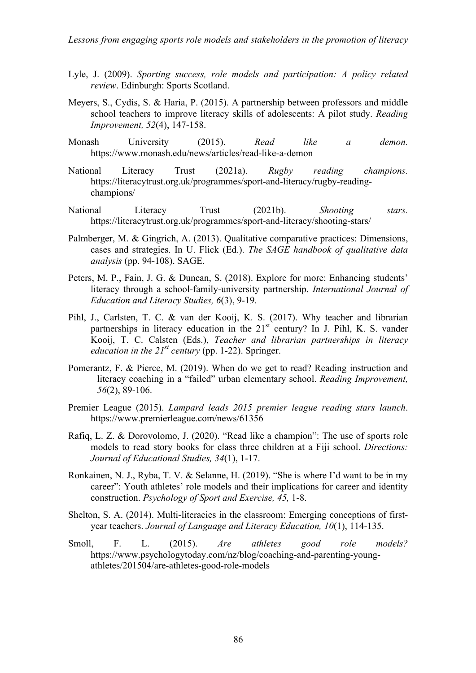- Lyle, J. (2009). *Sporting success, role models and participation: A policy related review*. Edinburgh: Sports Scotland.
- Meyers, S., Cydis, S. & Haria, P. (2015). A partnership between professors and middle school teachers to improve literacy skills of adolescents: A pilot study. *Reading Improvement, 52*(4), 147-158.
- Monash University (2015). *Read like a demon.* https://www.monash.edu/news/articles/read-like-a-demon
- National Literacy Trust (2021a). *Rugby reading champions.*  https://literacytrust.org.uk/programmes/sport-and-literacy/rugby-readingchampions/
- National Literacy Trust (2021b). *Shooting stars.* https://literacytrust.org.uk/programmes/sport-and-literacy/shooting-stars/
- Palmberger, M. & Gingrich, A. (2013). Qualitative comparative practices: Dimensions, cases and strategies. In U. Flick (Ed.). *The SAGE handbook of qualitative data analysis* (pp. 94-108). SAGE.
- Peters, M. P., Fain, J. G. & Duncan, S. (2018). Explore for more: Enhancing students' literacy through a school-family-university partnership. *International Journal of Education and Literacy Studies, 6*(3), 9-19.
- Pihl, J., Carlsten, T. C. & van der Kooij, K. S. (2017). Why teacher and librarian partnerships in literacy education in the  $21<sup>st</sup>$  century? In J. Pihl, K. S. vander Kooij, T. C. Calsten (Eds.), *Teacher and librarian partnerships in literacy education in the 21st century* (pp. 1-22). Springer.
- Pomerantz, F. & Pierce, M. (2019). When do we get to read? Reading instruction and literacy coaching in a "failed" urban elementary school. *Reading Improvement, 56*(2), 89-106.
- Premier League (2015). *Lampard leads 2015 premier league reading stars launch*. https://www.premierleague.com/news/61356
- Rafiq, L. Z. & Dorovolomo, J. (2020). "Read like a champion": The use of sports role models to read story books for class three children at a Fiji school. *Directions: Journal of Educational Studies, 34*(1), 1-17.
- Ronkainen, N. J., Ryba, T. V. & Selanne, H. (2019). "She is where I'd want to be in my career": Youth athletes' role models and their implications for career and identity construction. *Psychology of Sport and Exercise, 45,* 1-8.
- Shelton, S. A. (2014). Multi-literacies in the classroom: Emerging conceptions of firstyear teachers. *Journal of Language and Literacy Education, 10*(1), 114-135.
- Smoll, F. L. (2015). *Are athletes good role models?* https://www.psychologytoday.com/nz/blog/coaching-and-parenting-youngathletes/201504/are-athletes-good-role-models